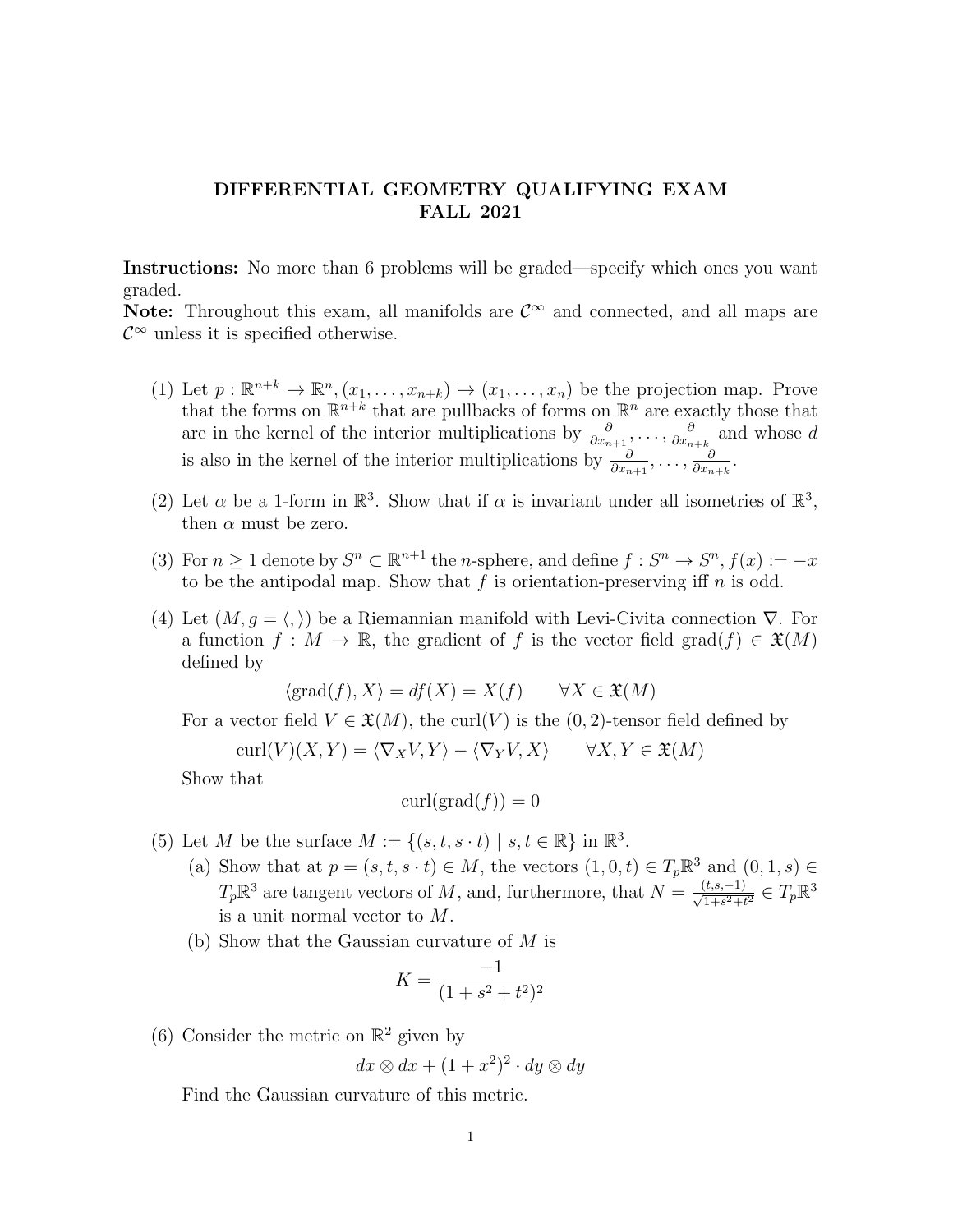## DIFFERENTIAL GEOMETRY QUALIFYING EXAM FALL 2021

Instructions: No more than 6 problems will be graded—specify which ones you want graded.

Note: Throughout this exam, all manifolds are  $\mathcal{C}^{\infty}$  and connected, and all maps are  $\mathcal{C}^{\infty}$  unless it is specified otherwise.

- (1) Let  $p: \mathbb{R}^{n+k} \to \mathbb{R}^n$ ,  $(x_1, \ldots, x_{n+k}) \mapsto (x_1, \ldots, x_n)$  be the projection map. Prove that the forms on  $\mathbb{R}^{n+k}$  that are pullbacks of forms on  $\mathbb{R}^n$  are exactly those that are in the kernel of the interior multiplications by  $\frac{\partial}{\partial x_{n+1}}, \ldots, \frac{\partial}{\partial x_n}$  $\frac{\partial}{\partial x_{n+k}}$  and whose d is also in the kernel of the interior multiplications by  $\frac{\partial}{\partial x_{n+1}}, \ldots, \frac{\partial}{\partial x_n}$  $\frac{\partial}{\partial x_{n+k}}$ .
- (2) Let  $\alpha$  be a 1-form in  $\mathbb{R}^3$ . Show that if  $\alpha$  is invariant under all isometries of  $\mathbb{R}^3$ , then  $\alpha$  must be zero.
- (3) For  $n \geq 1$  denote by  $S^n \subset \mathbb{R}^{n+1}$  the *n*-sphere, and define  $f : S^n \to S^n$ ,  $f(x) := -x$ to be the antipodal map. Show that  $f$  is orientation-preserving iff  $n$  is odd.
- (4) Let  $(M, q = \langle, \rangle)$  be a Riemannian manifold with Levi-Civita connection  $\nabla$ . For a function  $f : M \to \mathbb{R}$ , the gradient of f is the vector field grad $(f) \in \mathfrak{X}(M)$ defined by

$$
\langle \text{grad}(f), X \rangle = df(X) = X(f) \qquad \forall X \in \mathfrak{X}(M)
$$

For a vector field  $V \in \mathfrak{X}(M)$ , the curl(V) is the  $(0, 2)$ -tensor field defined by

$$
curl(V)(X,Y) = \langle \nabla_X V, Y \rangle - \langle \nabla_Y V, X \rangle \qquad \forall X, Y \in \mathfrak{X}(M)
$$

Show that

$$
\operatorname{curl}(\operatorname{grad}(f)) = 0
$$

- (5) Let M be the surface  $M := \{(s, t, s \cdot t) \mid s, t \in \mathbb{R}\}\$ in  $\mathbb{R}^3$ .
	- (a) Show that at  $p = (s, t, s \cdot t) \in M$ , the vectors  $(1, 0, t) \in T_p \mathbb{R}^3$  and  $(0, 1, s) \in$  $T_p \mathbb{R}^3$  are tangent vectors of M, and, furthermore, that  $N = \frac{(t,s,-1)}{\sqrt{1+s^2+t^2}} \in T_p \mathbb{R}^3$ is a unit normal vector to M.
	- (b) Show that the Gaussian curvature of M is

$$
K = \frac{-1}{(1 + s^2 + t^2)^2}
$$

(6) Consider the metric on  $\mathbb{R}^2$  given by

 $dx \otimes dx + (1+x^2)^2 \cdot dy \otimes dy$ 

Find the Gaussian curvature of this metric.